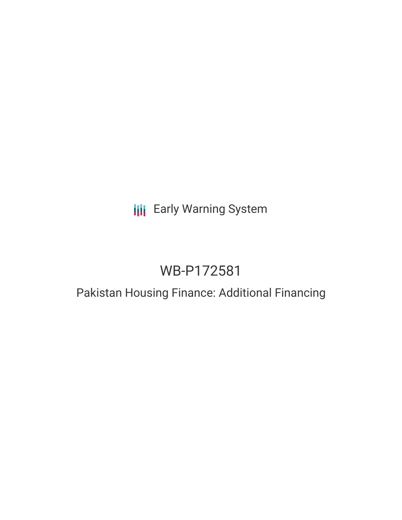# **III** Early Warning System

# WB-P172581

## Pakistan Housing Finance: Additional Financing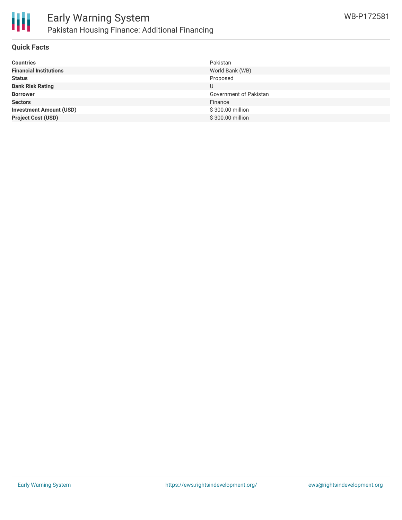

#### **Quick Facts**

| <b>Countries</b>               | Pakistan               |
|--------------------------------|------------------------|
| <b>Financial Institutions</b>  | World Bank (WB)        |
| <b>Status</b>                  | Proposed               |
| <b>Bank Risk Rating</b>        |                        |
| <b>Borrower</b>                | Government of Pakistan |
| <b>Sectors</b>                 | Finance                |
| <b>Investment Amount (USD)</b> | \$300.00 million       |
| <b>Project Cost (USD)</b>      | \$300.00 million       |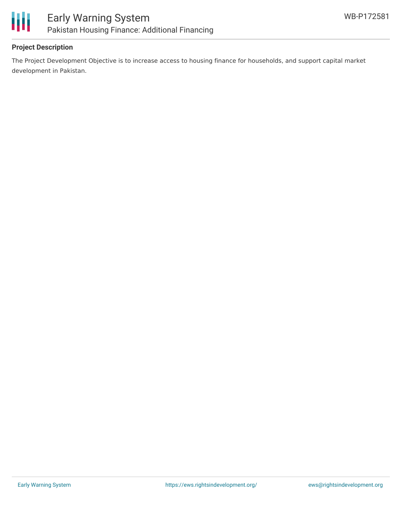

#### **Project Description**

The Project Development Objective is to increase access to housing finance for households, and support capital market development in Pakistan.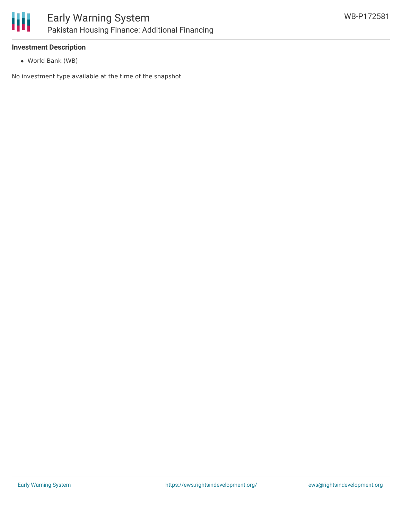

#### **Investment Description**

World Bank (WB)

No investment type available at the time of the snapshot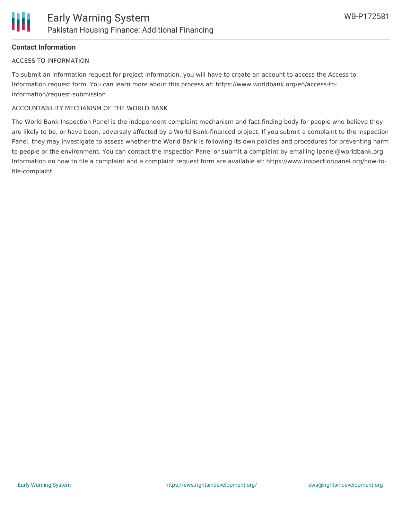#### **Contact Information**

#### ACCESS TO INFORMATION

To submit an information request for project information, you will have to create an account to access the Access to Information request form. You can learn more about this process at: https://www.worldbank.org/en/access-toinformation/request-submission

#### ACCOUNTABILITY MECHANISM OF THE WORLD BANK

The World Bank Inspection Panel is the independent complaint mechanism and fact-finding body for people who believe they are likely to be, or have been, adversely affected by a World Bank-financed project. If you submit a complaint to the Inspection Panel, they may investigate to assess whether the World Bank is following its own policies and procedures for preventing harm to people or the environment. You can contact the Inspection Panel or submit a complaint by emailing ipanel@worldbank.org. Information on how to file a complaint and a complaint request form are available at: https://www.inspectionpanel.org/how-tofile-complaint